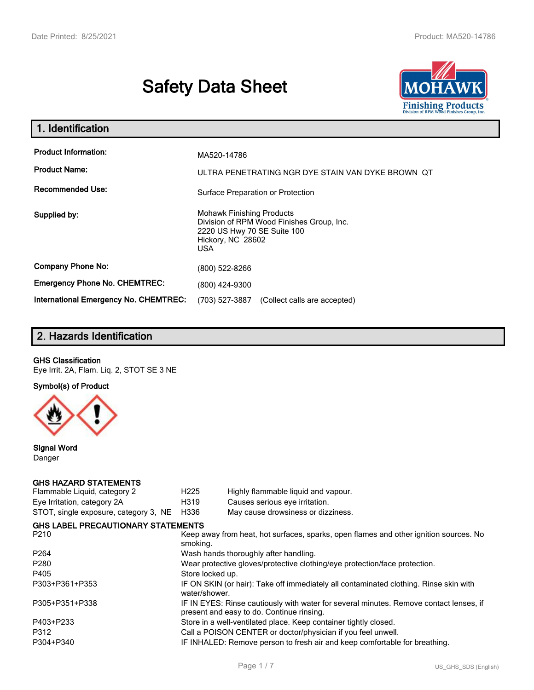# **Safety Data Sheet**



| 1. Identification                                                              |                                                                                                                                          |
|--------------------------------------------------------------------------------|------------------------------------------------------------------------------------------------------------------------------------------|
| <b>Product Information:</b><br><b>Product Name:</b><br><b>Recommended Use:</b> | MA520-14786<br>ULTRA PENETRATING NGR DYE STAIN VAN DYKE BROWN OT                                                                         |
|                                                                                | Surface Preparation or Protection                                                                                                        |
| Supplied by:                                                                   | <b>Mohawk Finishing Products</b><br>Division of RPM Wood Finishes Group, Inc.<br>2220 US Hwy 70 SE Suite 100<br>Hickory, NC 28602<br>USA |
| <b>Company Phone No:</b>                                                       | (800) 522-8266                                                                                                                           |
| <b>Emergency Phone No. CHEMTREC:</b>                                           | (800) 424-9300                                                                                                                           |
| <b>International Emergency No. CHEMTREC:</b>                                   | (703) 527-3887<br>(Collect calls are accepted)                                                                                           |

# **2. Hazards Identification**

#### **GHS Classification**

Eye Irrit. 2A, Flam. Liq. 2, STOT SE 3 NE

**Symbol(s) of Product**



**Signal Word** Danger

#### **GHS HAZARD STATEMENTS**

| H <sub>225</sub> | Highly flammable liquid and vapour.                                                                                                 |
|------------------|-------------------------------------------------------------------------------------------------------------------------------------|
| H319             | Causes serious eye irritation.                                                                                                      |
| H336             | May cause drowsiness or dizziness.                                                                                                  |
|                  |                                                                                                                                     |
| smoking.         | Keep away from heat, hot surfaces, sparks, open flames and other ignition sources. No                                               |
|                  | Wash hands thoroughly after handling.                                                                                               |
|                  | Wear protective gloves/protective clothing/eye protection/face protection.                                                          |
| Store locked up. |                                                                                                                                     |
| water/shower.    | IF ON SKIN (or hair): Take off immediately all contaminated clothing. Rinse skin with                                               |
|                  | IF IN EYES: Rinse cautiously with water for several minutes. Remove contact lenses, if<br>present and easy to do. Continue rinsing. |
|                  | Store in a well-ventilated place. Keep container tightly closed.                                                                    |
|                  | Call a POISON CENTER or doctor/physician if you feel unwell.                                                                        |
|                  | IF INHALED: Remove person to fresh air and keep comfortable for breathing.                                                          |
|                  | STOT, single exposure, category 3, NE<br><b>GHS LABEL PRECAUTIONARY STATEMENTS</b>                                                  |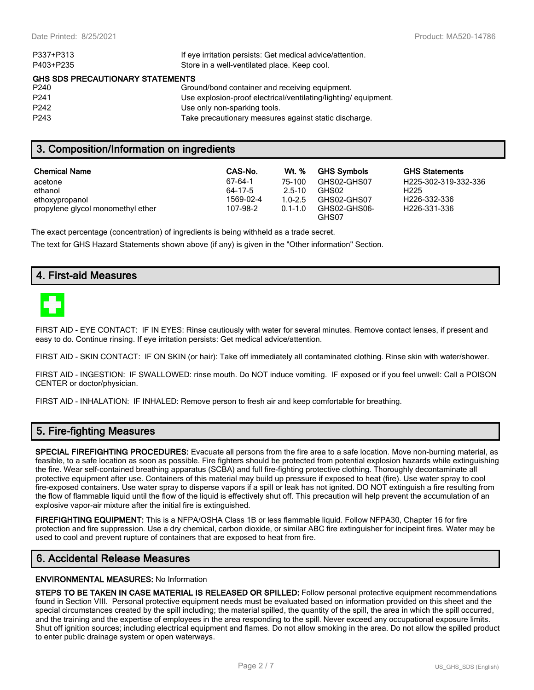| If eye irritation persists: Get medical advice/attention.      |
|----------------------------------------------------------------|
| Store in a well-ventilated place. Keep cool.                   |
| <b>GHS SDS PRECAUTIONARY STATEMENTS</b>                        |
| Ground/bond container and receiving equipment.                 |
| Use explosion-proof electrical/ventilating/lighting/equipment. |
| Use only non-sparking tools.                                   |
| Take precautionary measures against static discharge.          |
|                                                                |

## **3. Composition/Information on ingredients**

| <b>Chemical Name</b>              | CAS-No.   | <b>Wt.</b> % | <b>GHS Symbols</b>    | <b>GHS Statements</b>     |
|-----------------------------------|-----------|--------------|-----------------------|---------------------------|
| acetone                           | 67-64-1   | 75-100       | GHS02-GHS07           | H225-302-319-332-336      |
| ethanol                           | 64-17-5   | $2.5 - 10$   | GHS02                 | H <sub>225</sub>          |
| ethoxypropanol                    | 1569-02-4 | $1.0 - 2.5$  | GHS02-GHS07           | H <sub>226</sub> -332-336 |
| propylene glycol monomethyl ether | 107-98-2  | $0.1 - 1.0$  | GHS02-GHS06-<br>GHS07 | H <sub>226</sub> -331-336 |

The exact percentage (concentration) of ingredients is being withheld as a trade secret.

The text for GHS Hazard Statements shown above (if any) is given in the "Other information" Section.

## **4. First-aid Measures**



FIRST AID - EYE CONTACT: IF IN EYES: Rinse cautiously with water for several minutes. Remove contact lenses, if present and easy to do. Continue rinsing. If eye irritation persists: Get medical advice/attention.

FIRST AID - SKIN CONTACT: IF ON SKIN (or hair): Take off immediately all contaminated clothing. Rinse skin with water/shower.

FIRST AID - INGESTION: IF SWALLOWED: rinse mouth. Do NOT induce vomiting. IF exposed or if you feel unwell: Call a POISON CENTER or doctor/physician.

FIRST AID - INHALATION: IF INHALED: Remove person to fresh air and keep comfortable for breathing.

# **5. Fire-fighting Measures**

**SPECIAL FIREFIGHTING PROCEDURES:** Evacuate all persons from the fire area to a safe location. Move non-burning material, as feasible, to a safe location as soon as possible. Fire fighters should be protected from potential explosion hazards while extinguishing the fire. Wear self-contained breathing apparatus (SCBA) and full fire-fighting protective clothing. Thoroughly decontaminate all protective equipment after use. Containers of this material may build up pressure if exposed to heat (fire). Use water spray to cool fire-exposed containers. Use water spray to disperse vapors if a spill or leak has not ignited. DO NOT extinguish a fire resulting from the flow of flammable liquid until the flow of the liquid is effectively shut off. This precaution will help prevent the accumulation of an explosive vapor-air mixture after the initial fire is extinguished.

**FIREFIGHTING EQUIPMENT:** This is a NFPA/OSHA Class 1B or less flammable liquid. Follow NFPA30, Chapter 16 for fire protection and fire suppression. Use a dry chemical, carbon dioxide, or similar ABC fire extinguisher for incipeint fires. Water may be used to cool and prevent rupture of containers that are exposed to heat from fire.

## **6. Accidental Release Measures**

#### **ENVIRONMENTAL MEASURES:** No Information

**STEPS TO BE TAKEN IN CASE MATERIAL IS RELEASED OR SPILLED:** Follow personal protective equipment recommendations found in Section VIII. Personal protective equipment needs must be evaluated based on information provided on this sheet and the special circumstances created by the spill including; the material spilled, the quantity of the spill, the area in which the spill occurred, and the training and the expertise of employees in the area responding to the spill. Never exceed any occupational exposure limits. Shut off ignition sources; including electrical equipment and flames. Do not allow smoking in the area. Do not allow the spilled product to enter public drainage system or open waterways.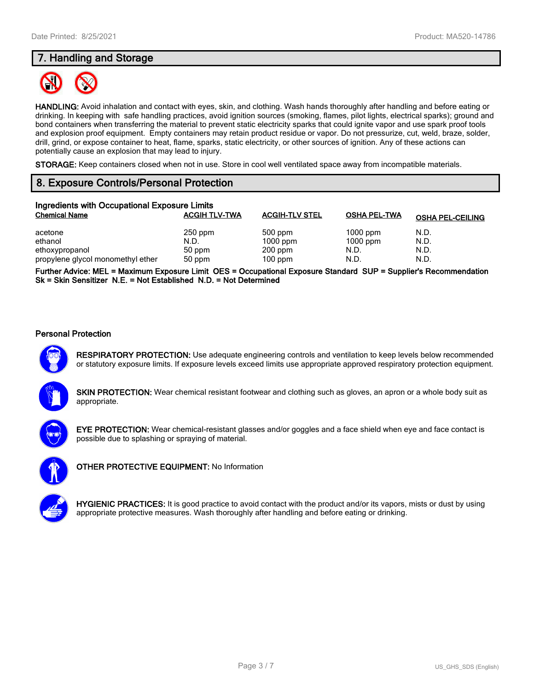# **7. Handling and Storage**



**HANDLING:** Avoid inhalation and contact with eyes, skin, and clothing. Wash hands thoroughly after handling and before eating or drinking. In keeping with safe handling practices, avoid ignition sources (smoking, flames, pilot lights, electrical sparks); ground and bond containers when transferring the material to prevent static electricity sparks that could ignite vapor and use spark proof tools and explosion proof equipment. Empty containers may retain product residue or vapor. Do not pressurize, cut, weld, braze, solder, drill, grind, or expose container to heat, flame, sparks, static electricity, or other sources of ignition. Any of these actions can potentially cause an explosion that may lead to injury.

**STORAGE:** Keep containers closed when not in use. Store in cool well ventilated space away from incompatible materials.

# **8. Exposure Controls/Personal Protection**

| Ingredients with Occupational Exposure Limits |                      |                       |                     |                         |  |  |
|-----------------------------------------------|----------------------|-----------------------|---------------------|-------------------------|--|--|
| <b>Chemical Name</b>                          | <b>ACGIH TLV-TWA</b> | <b>ACGIH-TLV STEL</b> | <b>OSHA PEL-TWA</b> | <b>OSHA PEL-CEILING</b> |  |  |
| acetone                                       | $250$ ppm            | $500$ ppm             | $1000$ ppm          | N.D.                    |  |  |
| ethanol                                       | N.D.                 | $1000$ ppm            | $1000$ ppm          | N.D.                    |  |  |
| ethoxypropanol                                | 50 ppm               | $200$ ppm             | N.D.                | N.D.                    |  |  |
| propylene glycol monomethyl ether             | 50 ppm               | $100$ ppm             | N.D.                | N.D.                    |  |  |

**Further Advice: MEL = Maximum Exposure Limit OES = Occupational Exposure Standard SUP = Supplier's Recommendation Sk = Skin Sensitizer N.E. = Not Established N.D. = Not Determined**

#### **Personal Protection**



**RESPIRATORY PROTECTION:** Use adequate engineering controls and ventilation to keep levels below recommended or statutory exposure limits. If exposure levels exceed limits use appropriate approved respiratory protection equipment.

**SKIN PROTECTION:** Wear chemical resistant footwear and clothing such as gloves, an apron or a whole body suit as appropriate.



**EYE PROTECTION:** Wear chemical-resistant glasses and/or goggles and a face shield when eye and face contact is possible due to splashing or spraying of material.



**OTHER PROTECTIVE EQUIPMENT:** No Information



**HYGIENIC PRACTICES:** It is good practice to avoid contact with the product and/or its vapors, mists or dust by using appropriate protective measures. Wash thoroughly after handling and before eating or drinking.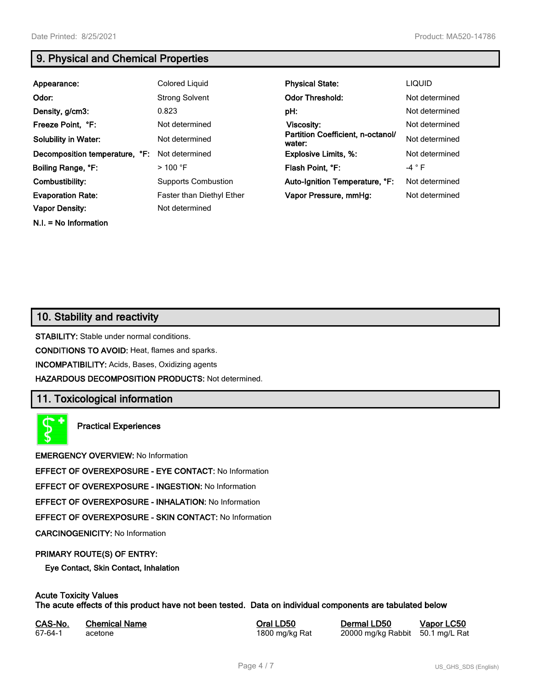**N.I. = No Information**

# **9. Physical and Chemical Properties**

| Appearance:                    | Colored Liquid             | <b>Physical State:</b>                      | <b>LIQUID</b>  |
|--------------------------------|----------------------------|---------------------------------------------|----------------|
| Odor:                          | <b>Strong Solvent</b>      | <b>Odor Threshold:</b>                      | Not determined |
| Density, g/cm3:                | 0.823                      | pH:                                         | Not determined |
| Freeze Point, °F:              | Not determined             | Viscosity:                                  | Not determined |
| <b>Solubility in Water:</b>    | Not determined             | Partition Coefficient, n-octanol/<br>water: | Not determined |
| Decomposition temperature, °F: | Not determined             | <b>Explosive Limits, %:</b>                 | Not determined |
| Boiling Range, °F:             | $>100$ °F                  | Flash Point, °F:                            | $-4$ $\circ$ F |
| Combustibility:                | <b>Supports Combustion</b> | Auto-Ignition Temperature, °F:              | Not determined |
| <b>Evaporation Rate:</b>       | Faster than Diethyl Ether  | Vapor Pressure, mmHg:                       | Not determined |
| <b>Vapor Density:</b>          | Not determined             |                                             |                |

# **10. Stability and reactivity**

**STABILITY:** Stable under normal conditions.

**CONDITIONS TO AVOID:** Heat, flames and sparks.

**INCOMPATIBILITY:** Acids, Bases, Oxidizing agents

**HAZARDOUS DECOMPOSITION PRODUCTS:** Not determined.

# **11. Toxicological information**

**Practical Experiences**

**EMERGENCY OVERVIEW:** No Information

**EFFECT OF OVEREXPOSURE - EYE CONTACT:** No Information

**EFFECT OF OVEREXPOSURE - INGESTION:** No Information

**EFFECT OF OVEREXPOSURE - INHALATION:** No Information

**EFFECT OF OVEREXPOSURE - SKIN CONTACT:** No Information

**CARCINOGENICITY:** No Information

#### **PRIMARY ROUTE(S) OF ENTRY:**

**Eye Contact, Skin Contact, Inhalation**

# **Acute Toxicity Values**

**The acute effects of this product have not been tested. Data on individual components are tabulated below**

| CAS-No. | <b>Chemical Name</b> |
|---------|----------------------|
| 67-64-1 | acetone              |

**Casary Chemical Chemical LD50 Chemical LD50 Vapor LC50** 1800 mg/kg Rat 20000 mg/kg Rabbit 50.1 mg/L Rat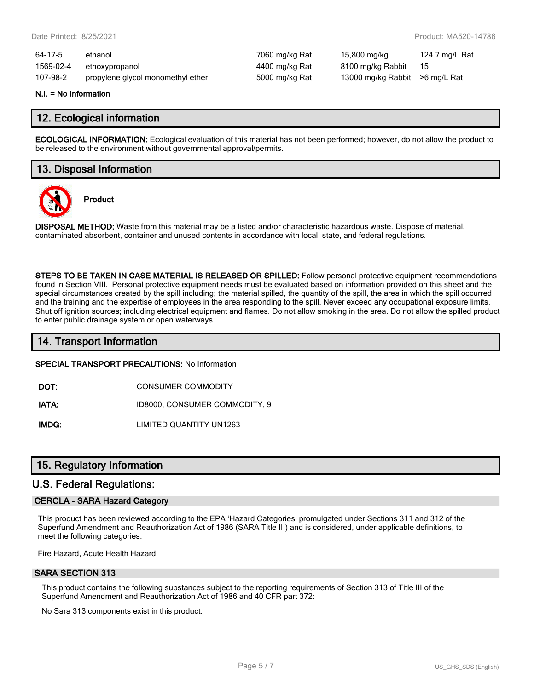| 64-17-5   | ethanol                           | 7060 mg/kg Rat | 15,800 mg/kg                    | 124.7 mg/L Rat |
|-----------|-----------------------------------|----------------|---------------------------------|----------------|
| 1569-02-4 | ethoxypropanol                    | 4400 mg/kg Rat | 8100 mg/kg Rabbit               | - 15           |
| 107-98-2  | propylene glycol monomethyl ether | 5000 mg/kg Rat | 13000 mg/kg Rabbit > 6 mg/L Rat |                |

#### **N.I. = No Information**

## **12. Ecological information**

**ECOLOGICAL INFORMATION:** Ecological evaluation of this material has not been performed; however, do not allow the product to be released to the environment without governmental approval/permits.

## **13. Disposal Information**



**Product**

**DISPOSAL METHOD:** Waste from this material may be a listed and/or characteristic hazardous waste. Dispose of material, contaminated absorbent, container and unused contents in accordance with local, state, and federal regulations.

**STEPS TO BE TAKEN IN CASE MATERIAL IS RELEASED OR SPILLED:** Follow personal protective equipment recommendations found in Section VIII. Personal protective equipment needs must be evaluated based on information provided on this sheet and the special circumstances created by the spill including; the material spilled, the quantity of the spill, the area in which the spill occurred, and the training and the expertise of employees in the area responding to the spill. Never exceed any occupational exposure limits. Shut off ignition sources; including electrical equipment and flames. Do not allow smoking in the area. Do not allow the spilled product to enter public drainage system or open waterways.

## **14. Transport Information**

#### **SPECIAL TRANSPORT PRECAUTIONS:** No Information

**DOT:** CONSUMER COMMODITY

**IATA:** ID8000, CONSUMER COMMODITY, 9

**IMDG:** LIMITED QUANTITY UN1263

## **15. Regulatory Information**

## **U.S. Federal Regulations:**

#### **CERCLA - SARA Hazard Category**

This product has been reviewed according to the EPA 'Hazard Categories' promulgated under Sections 311 and 312 of the Superfund Amendment and Reauthorization Act of 1986 (SARA Title III) and is considered, under applicable definitions, to meet the following categories:

Fire Hazard, Acute Health Hazard

#### **SARA SECTION 313**

This product contains the following substances subject to the reporting requirements of Section 313 of Title III of the Superfund Amendment and Reauthorization Act of 1986 and 40 CFR part 372:

No Sara 313 components exist in this product.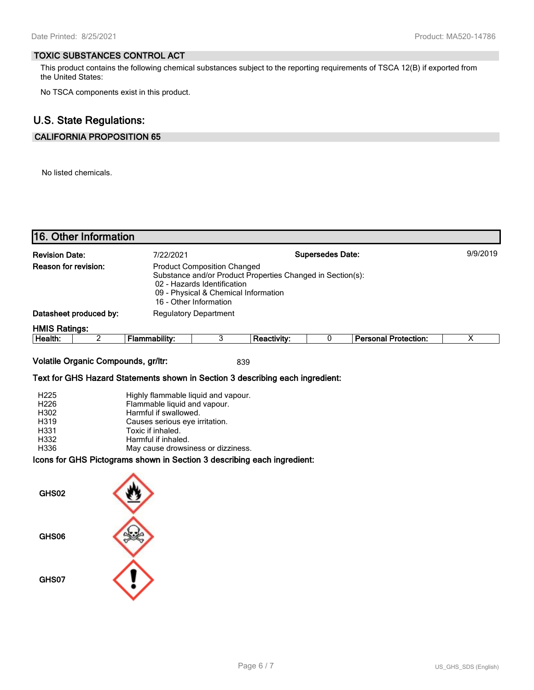#### **TOXIC SUBSTANCES CONTROL ACT**

This product contains the following chemical substances subject to the reporting requirements of TSCA 12(B) if exported from the United States:

No TSCA components exist in this product.

# **U.S. State Regulations:**

## **CALIFORNIA PROPOSITION 65**

No listed chemicals.

| 16. Other Information                                                                                                                                                                                                                                                                                                                                |                                                                                                                                                                                                                  |                |             |          |                             |                         |
|------------------------------------------------------------------------------------------------------------------------------------------------------------------------------------------------------------------------------------------------------------------------------------------------------------------------------------------------------|------------------------------------------------------------------------------------------------------------------------------------------------------------------------------------------------------------------|----------------|-------------|----------|-----------------------------|-------------------------|
| <b>Supersedes Date:</b><br><b>Revision Date:</b><br>7/22/2021<br>Reason for revision:<br><b>Product Composition Changed</b><br>Substance and/or Product Properties Changed in Section(s):<br>02 - Hazards Identification<br>09 - Physical & Chemical Information<br>16 - Other Information<br>Datasheet produced by:<br><b>Regulatory Department</b> |                                                                                                                                                                                                                  |                |             | 9/9/2019 |                             |                         |
| <b>HMIS Ratings:</b>                                                                                                                                                                                                                                                                                                                                 |                                                                                                                                                                                                                  |                |             |          |                             |                         |
| $\overline{2}$<br>Health:                                                                                                                                                                                                                                                                                                                            | <b>Flammability:</b>                                                                                                                                                                                             | $\overline{3}$ | Reactivity: | 0        | <b>Personal Protection:</b> | $\overline{\mathsf{x}}$ |
| Volatile Organic Compounds, gr/ltr:<br>Text for GHS Hazard Statements shown in Section 3 describing each ingredient:<br>H <sub>225</sub><br>H226<br>H302<br>H319<br>H331<br>H332<br>H336<br>Icons for GHS Pictograms shown in Section 3 describing each ingredient:<br>GHS02<br>GHS06<br>GHS07                                                       | Highly flammable liquid and vapour.<br>Flammable liquid and vapour.<br>Harmful if swallowed.<br>Causes serious eye irritation.<br>Toxic if inhaled.<br>Harmful if inhaled.<br>May cause drowsiness or dizziness. |                | 839         |          |                             |                         |